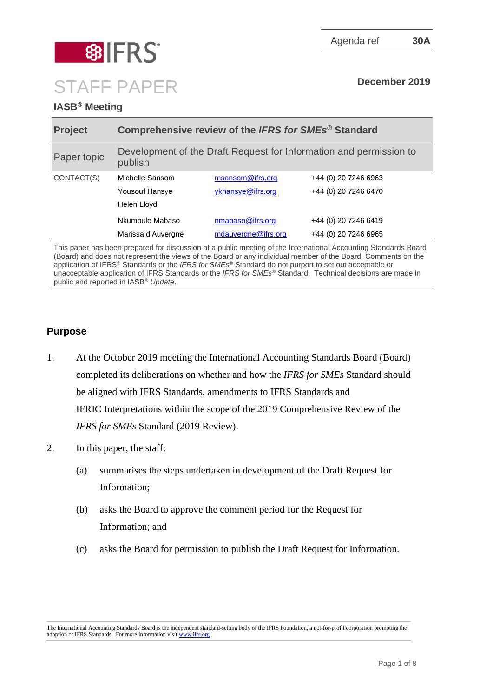

# **IASB® Meeting**

| <b>Project</b> | Comprehensive review of the IFRS for SMEs <sup>®</sup> Standard               |                     |                      |
|----------------|-------------------------------------------------------------------------------|---------------------|----------------------|
| Paper topic    | Development of the Draft Request for Information and permission to<br>publish |                     |                      |
| CONTACT(S)     | Michelle Sansom                                                               | msansom@ifrs.org    | +44 (0) 20 7246 6963 |
|                | <b>Yousouf Hansye</b>                                                         | ykhansye@ifrs.org   | +44 (0) 20 7246 6470 |
|                | Helen Lloyd                                                                   |                     |                      |
|                | Nkumbulo Mabaso                                                               | nmabaso@ifrs.org    | +44 (0) 20 7246 6419 |
|                | Marissa d'Auvergne                                                            | mdauvergne@ifrs.org | +44 (0) 20 7246 6965 |

This paper has been prepared for discussion at a public meeting of the International Accounting Standards Board (Board) and does not represent the views of the Board or any individual member of the Board. Comments on the application of IFRS® Standards or the *IFRS for SMEs*® Standard do not purport to set out acceptable or unacceptable application of IFRS Standards or the *IFRS for SMEs*® Standard. Technical decisions are made in public and reported in IASB® *Update*.

# **Purpose**

- 1. At the October 2019 meeting the International Accounting Standards Board (Board) completed its deliberations on whether and how the *IFRS for SMEs* Standard should be aligned with IFRS Standards, amendments to IFRS Standards and IFRIC Interpretations within the scope of the 2019 Comprehensive Review of the *IFRS for SMEs* Standard (2019 Review).
- 2. In this paper, the staff:
	- (a) summarises the steps undertaken in development of the Draft Request for Information;
	- (b) asks the Board to approve the comment period for the Request for Information; and
	- (c) asks the Board for permission to publish the Draft Request for Information.

The International Accounting Standards Board is the independent standard-setting body of the IFRS Foundation, a not-for-profit corporation promoting the adoption of IFRS Standards. For more information visit [www.ifrs.org.](http://www.ifrs.org/)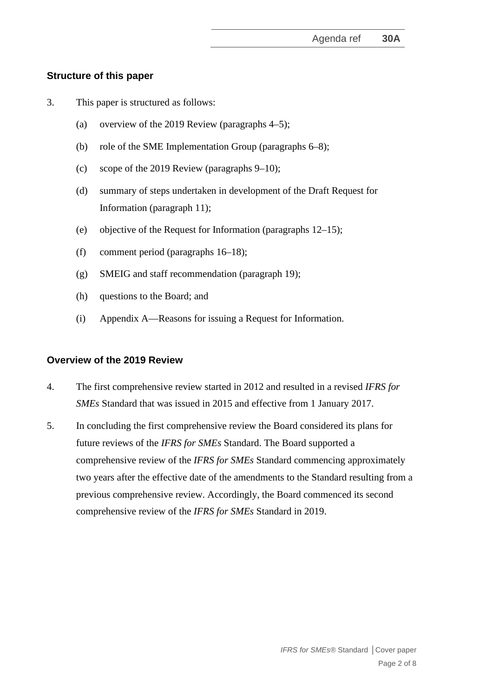# **Structure of this paper**

- 3. This paper is structured as follows:
	- (a) overview of the 2019 Review (paragraphs 4–5);
	- (b) role of the SME Implementation Group (paragraphs 6–8);
	- (c) scope of the 2019 Review (paragraphs 9–10);
	- (d) summary of steps undertaken in development of the Draft Request for Information (paragraph 11);
	- (e) objective of the Request for Information (paragraphs 12–15);
	- (f) comment period (paragraphs 16–18);
	- (g) SMEIG and staff recommendation (paragraph 19);
	- (h) questions to the Board; and
	- (i) Appendix A—Reasons for issuing a Request for Information.

## **Overview of the 2019 Review**

- 4. The first comprehensive review started in 2012 and resulted in a revised *IFRS for SMEs* Standard that was issued in 2015 and effective from 1 January 2017.
- 5. In concluding the first comprehensive review the Board considered its plans for future reviews of the *IFRS for SMEs* Standard. The Board supported a comprehensive review of the *IFRS for SMEs* Standard commencing approximately two years after the effective date of the amendments to the Standard resulting from a previous comprehensive review. Accordingly, the Board commenced its second comprehensive review of the *IFRS for SMEs* Standard in 2019.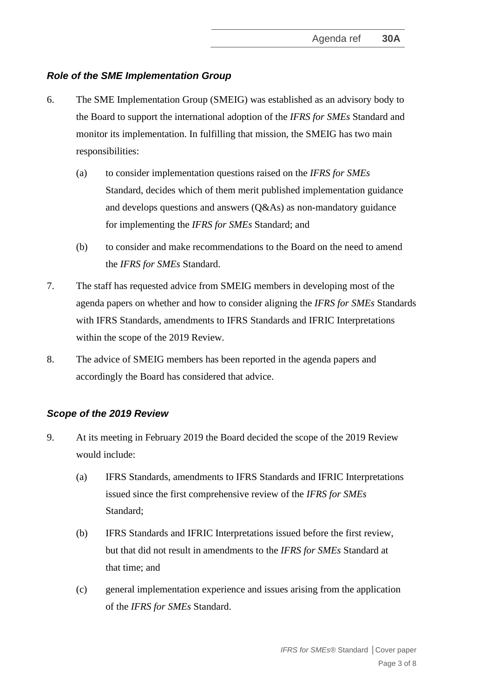# *Role of the SME Implementation Group*

- 6. The SME Implementation Group (SMEIG) was established as an advisory body to the Board to support the international adoption of the *IFRS for SMEs* Standard and monitor its implementation. In fulfilling that mission, the SMEIG has two main responsibilities:
	- (a) to consider implementation questions raised on the *IFRS for SMEs* Standard, decides which of them merit published implementation guidance and develops questions and answers (Q&As) as non-mandatory guidance for implementing the *IFRS for SMEs* Standard; and
	- (b) to consider and make recommendations to the Board on the need to amend the *IFRS for SMEs* Standard.
- 7. The staff has requested advice from SMEIG members in developing most of the agenda papers on whether and how to consider aligning the *IFRS for SMEs* Standards with IFRS Standards, amendments to IFRS Standards and IFRIC Interpretations within the scope of the 2019 Review.
- 8. The advice of SMEIG members has been reported in the agenda papers and accordingly the Board has considered that advice.

## *Scope of the 2019 Review*

- 9. At its meeting in February 2019 the Board decided the scope of the 2019 Review would include:
	- (a) IFRS Standards, amendments to IFRS Standards and IFRIC Interpretations issued since the first comprehensive review of the *IFRS for SMEs* Standard;
	- (b) IFRS Standards and IFRIC Interpretations issued before the first review, but that did not result in amendments to the *IFRS for SMEs* Standard at that time; and
	- (c) general implementation experience and issues arising from the application of the *IFRS for SMEs* Standard.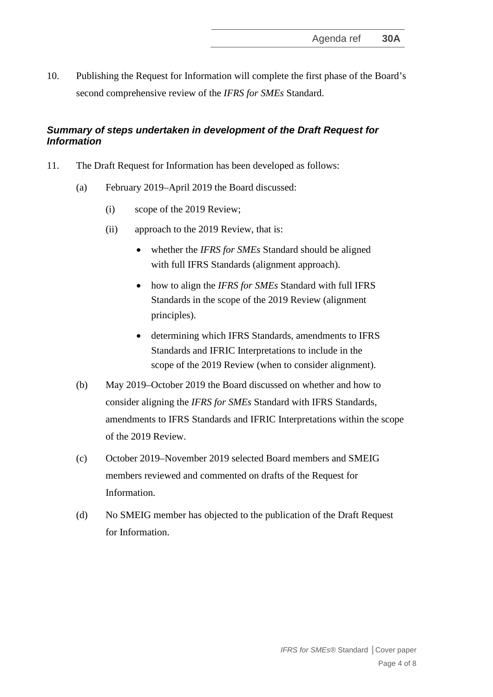10. Publishing the Request for Information will complete the first phase of the Board's second comprehensive review of the *IFRS for SMEs* Standard.

# *Summary of steps undertaken in development of the Draft Request for Information*

- 11. The Draft Request for Information has been developed as follows:
	- (a) February 2019–April 2019 the Board discussed:
		- (i) scope of the 2019 Review;
		- (ii) approach to the 2019 Review, that is:
			- whether the *IFRS for SMEs* Standard should be aligned with full IFRS Standards (alignment approach).
			- how to align the *IFRS for SMEs* Standard with full IFRS Standards in the scope of the 2019 Review (alignment principles).
			- determining which IFRS Standards, amendments to IFRS Standards and IFRIC Interpretations to include in the scope of the 2019 Review (when to consider alignment).
	- (b) May 2019–October 2019 the Board discussed on whether and how to consider aligning the *IFRS for SMEs* Standard with IFRS Standards, amendments to IFRS Standards and IFRIC Interpretations within the scope of the 2019 Review.
	- (c) October 2019–November 2019 selected Board members and SMEIG members reviewed and commented on drafts of the Request for Information.
	- (d) No SMEIG member has objected to the publication of the Draft Request for Information.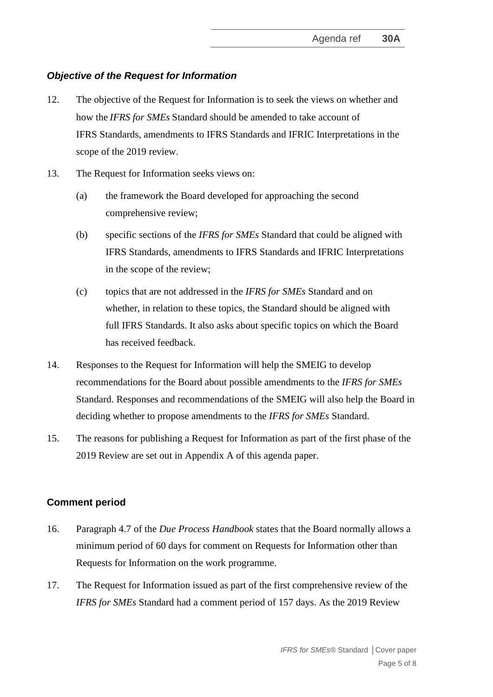# *Objective of the Request for Information*

- 12. The objective of the Request for Information is to seek the views on whether and how the *IFRS for SMEs* Standard should be amended to take account of IFRS Standards, amendments to IFRS Standards and IFRIC Interpretations in the scope of the 2019 review.
- 13. The Request for Information seeks views on:
	- (a) the framework the Board developed for approaching the second comprehensive review;
	- (b) specific sections of the *IFRS for SMEs* Standard that could be aligned with IFRS Standards, amendments to IFRS Standards and IFRIC Interpretations in the scope of the review;
	- (c) topics that are not addressed in the *IFRS for SMEs* Standard and on whether, in relation to these topics, the Standard should be aligned with full IFRS Standards. It also asks about specific topics on which the Board has received feedback.
- 14. Responses to the Request for Information will help the SMEIG to develop recommendations for the Board about possible amendments to the *IFRS for SMEs* Standard. Responses and recommendations of the SMEIG will also help the Board in deciding whether to propose amendments to the *IFRS for SMEs* Standard.
- 15. The reasons for publishing a Request for Information as part of the first phase of the 2019 Review are set out in Appendix A of this agenda paper.

## **Comment period**

- 16. Paragraph 4.7 of the *Due Process Handbook* states that the Board normally allows a minimum period of 60 days for comment on Requests for Information other than Requests for Information on the work programme.
- 17. The Request for Information issued as part of the first comprehensive review of the *IFRS for SMEs* Standard had a comment period of 157 days. As the 2019 Review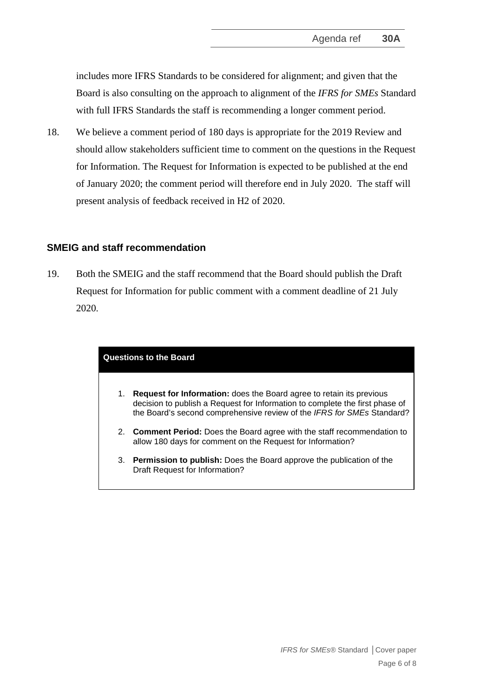includes more IFRS Standards to be considered for alignment; and given that the Board is also consulting on the approach to alignment of the *IFRS for SMEs* Standard with full IFRS Standards the staff is recommending a longer comment period.

18. We believe a comment period of 180 days is appropriate for the 2019 Review and should allow stakeholders sufficient time to comment on the questions in the Request for Information. The Request for Information is expected to be published at the end of January 2020; the comment period will therefore end in July 2020. The staff will present analysis of feedback received in H2 of 2020.

#### **SMEIG and staff recommendation**

19. Both the SMEIG and the staff recommend that the Board should publish the Draft Request for Information for public comment with a comment deadline of 21 July 2020.

#### **Questions to the Board**

- 1. **Request for Information:** does the Board agree to retain its previous decision to publish a Request for Information to complete the first phase of the Board's second comprehensive review of the *IFRS for SMEs* Standard?
- 2. **Comment Period:** Does the Board agree with the staff recommendation to allow 180 days for comment on the Request for Information?
- 3. **Permission to publish:** Does the Board approve the publication of the Draft Request for Information?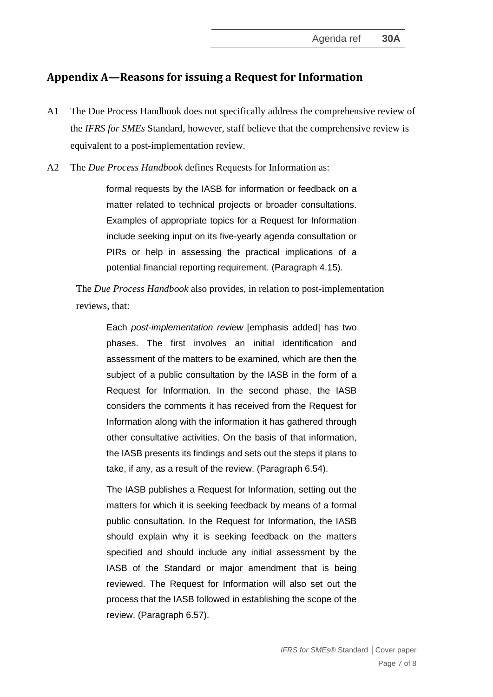# **Appendix A—Reasons for issuing a Request for Information**

- A1 The Due Process Handbook does not specifically address the comprehensive review of the *IFRS for SMEs* Standard, however, staff believe that the comprehensive review is equivalent to a post-implementation review.
- A2 The *Due Process Handbook* defines Requests for Information as:

formal requests by the IASB for information or feedback on a matter related to technical projects or broader consultations. Examples of appropriate topics for a Request for Information include seeking input on its five-yearly agenda consultation or PIRs or help in assessing the practical implications of a potential financial reporting requirement. (Paragraph 4.15).

The *Due Process Handbook* also provides, in relation to post-implementation reviews, that:

Each *post-implementation review* [emphasis added] has two phases. The first involves an initial identification and assessment of the matters to be examined, which are then the subject of a public consultation by the IASB in the form of a Request for Information. In the second phase, the IASB considers the comments it has received from the Request for Information along with the information it has gathered through other consultative activities. On the basis of that information, the IASB presents its findings and sets out the steps it plans to take, if any, as a result of the review. (Paragraph 6.54).

The IASB publishes a Request for Information, setting out the matters for which it is seeking feedback by means of a formal public consultation. In the Request for Information, the IASB should explain why it is seeking feedback on the matters specified and should include any initial assessment by the IASB of the Standard or major amendment that is being reviewed. The Request for Information will also set out the process that the IASB followed in establishing the scope of the review. (Paragraph 6.57).